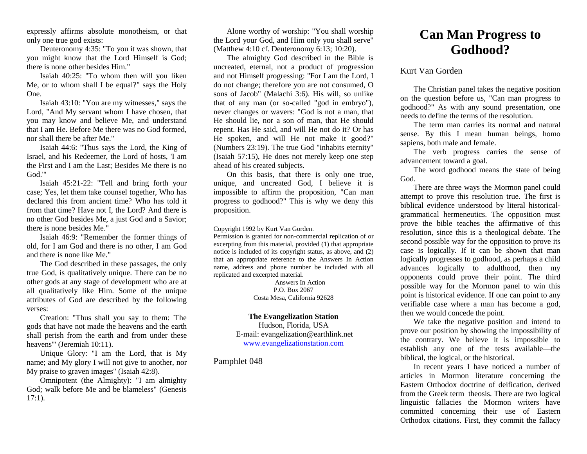expressly affirms absolute monotheism, or that only one true god exists:

Deuteronomy 4:35: "To you it was shown, that you might know that the Lord Himself is God; there is none other besides Him."

Isaiah 40:25: "To whom then will you liken Me, or to whom shall I be equal?" says the Holy One.

Isaiah 43:10: "You are my witnesses," says the Lord, "And My servant whom I have chosen, that you may know and believe Me, and understand that I am He. Before Me there was no God formed, nor shall there be after Me."

Isaiah 44:6: "Thus says the Lord, the King of Israel, and his Redeemer, the Lord of hosts, 'I am the First and I am the Last; Besides Me there is no God."

Isaiah 45:21-22: "Tell and bring forth your case; Yes, let them take counsel together, Who has declared this from ancient time? Who has told it from that time? Have not I, the Lord? And there is no other God besides Me, a just God and a Savior; there is none besides Me."

Isaiah 46:9: "Remember the former things of old, for I am God and there is no other, I am God and there is none like Me."

The God described in these passages, the only true God, is qualitatively unique. There can be no other gods at any stage of development who are at all qualitatively like Him. Some of the unique attributes of God are described by the following verses:

Creation: "Thus shall you say to them: 'The gods that have not made the heavens and the earth shall perish from the earth and from under these heavens'" (Jeremiah 10:11).

Unique Glory: "I am the Lord, that is My name; and My glory I will not give to another, nor My praise to graven images" (Isaiah 42:8).

Omnipotent (the Almighty): "I am almighty God; walk before Me and be blameless" (Genesis 17:1).

Alone worthy of worship: "You shall worship the Lord your God, and Him only you shall serve" (Matthew 4:10 cf. Deuteronomy 6:13; 10:20).

The almighty God described in the Bible is uncreated, eternal, not a product of progression and not Himself progressing: "For I am the Lord, I do not change; therefore you are not consumed, O sons of Jacob" (Malachi 3:6). His will, so unlike that of any man (or so-called "god in embryo"), never changes or wavers: "God is not a man, that He should lie, nor a son of man, that He should repent. Has He said, and will He not do it? Or has He spoken, and will He not make it good?" (Numbers 23:19). The true God "inhabits eternity" (Isaiah 57:15), He does not merely keep one step ahead of his created subjects.

On this basis, that there is only one true, unique, and uncreated God, I believe it is impossible to affirm the proposition, "Can man progress to godhood?" This is why we deny this proposition.

Copyright 1992 by Kurt Van Gorden.

Permission is granted for non-commercial replication of or excerpting from this material, provided (1) that appropriate notice is included of its copyright status, as above, and (2) that an appropriate reference to the Answers In Action name, address and phone number be included with all replicated and excerpted material.

> Answers In Action P.O. Box 2067 Costa Mesa, California 92628

**The Evangelization Station** Hudson, Florida, USA E-mail: evangelization@earthlink.net [www.evangelizationstation.com](http://www.pjpiisoe.org/)

Pamphlet 048

## **Can Man Progress to Godhood?**

## Kurt Van Gorden

The Christian panel takes the negative position on the question before us, "Can man progress to godhood?" As with any sound presentation, one needs to define the terms of the resolution.

The term man carries its normal and natural sense. By this I mean human beings, homo sapiens, both male and female.

The verb progress carries the sense of advancement toward a goal.

The word godhood means the state of being God.

There are three ways the Mormon panel could attempt to prove this resolution true. The first is biblical evidence understood by literal historicalgrammatical hermeneutics. The opposition must prove the bible teaches the affirmative of this resolution, since this is a theological debate. The second possible way for the opposition to prove its case is logically. If it can be shown that man logically progresses to godhood, as perhaps a child advances logically to adulthood, then my opponents could prove their point. The third possible way for the Mormon panel to win this point is historical evidence. If one can point to any verifiable case where a man has become a god, then we would concede the point.

We take the negative position and intend to prove our position by showing the impossibility of the contrary. We believe it is impossible to establish any one of the tests available—the biblical, the logical, or the historical.

In recent years I have noticed a number of articles in Mormon literature concerning the Eastern Orthodox doctrine of deification, derived from the Greek term theosis. There are two logical linguistic fallacies the Mormon writers have committed concerning their use of Eastern Orthodox citations. First, they commit the fallacy